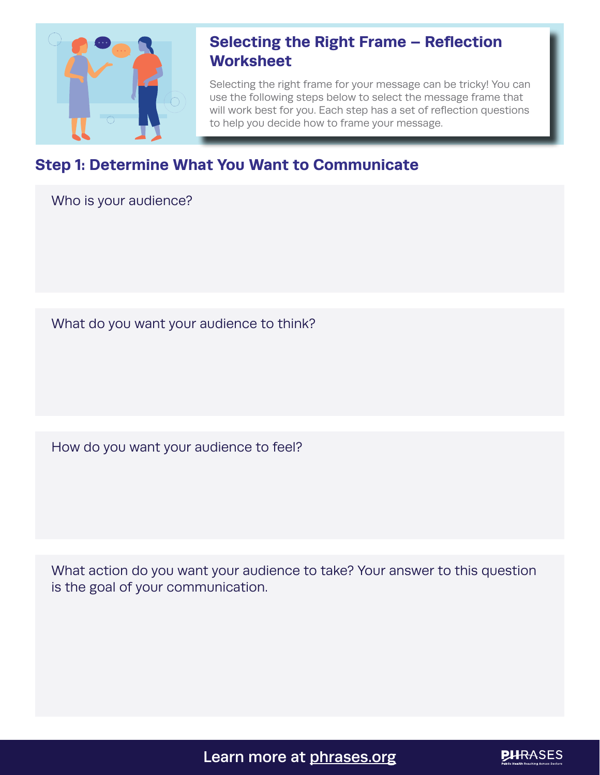

## **Selecting the Right Frame – Reflection Worksheet**

Selecting the right frame for your message can be tricky! You can use the following steps below to select the message frame that will work best for you. Each step has a set of reflection questions to help you decide how to frame your message.

## **Step 1: Determine What You Want to Communicate**

Who is your audience?

What do you want your audience to think?

How do you want your audience to feel?

What action do you want your audience to take? Your answer to this question is the goal of your communication.

Learn more at [phrases.org](https://www.phrases.org/)